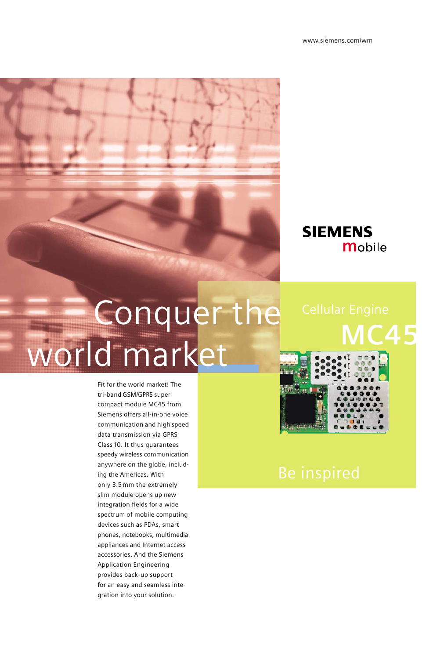### **SIEMENS Mobile**

# Conquer the world market

Fit for the world market! The tri-band GSM/GPRS super compact module MC45 from Siemens offers all-in-one voice communication and high speed data transmission via GPRS Class 10. It thus guarantees speedy wireless communication anywhere on the globe, including the Americas. With only 3.5 mm the extremely slim module opens up new integration fields for a wide spectrum of mobile computing devices such as PDAs, smart phones, notebooks, multimedia appliances and Internet access accessories. And the Siemens Application Engineering provides back-up support for an easy and seamless integration into your solution.

# **MC45 THE WARD**